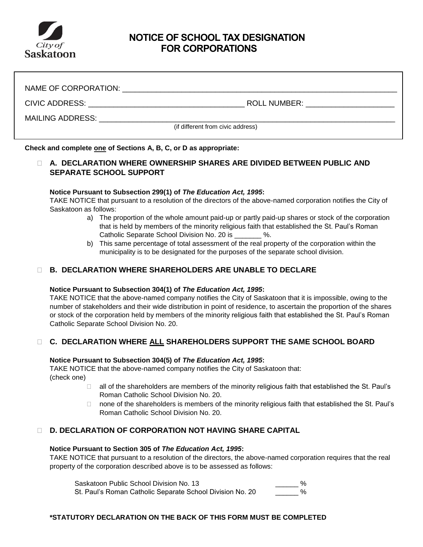

# **NOTICE OF SCHOOL TAX DESIGNATION FOR CORPORATIONS**

| NAME OF CORPORATION:                              |                     |  |  |
|---------------------------------------------------|---------------------|--|--|
| CIVIC ADDRESS: __________________________________ | <b>ROLL NUMBER:</b> |  |  |
| <b>MAILING ADDRESS:</b>                           |                     |  |  |
| (if different from civic address)                 |                     |  |  |

**Check and complete one of Sections A, B, C, or D as appropriate:**

## **A. DECLARATION WHERE OWNERSHIP SHARES ARE DIVIDED BETWEEN PUBLIC AND SEPARATE SCHOOL SUPPORT**

#### **Notice Pursuant to Subsection 299(1) of** *The Education Act, 1995***:**

TAKE NOTICE that pursuant to a resolution of the directors of the above-named corporation notifies the City of Saskatoon as follows:

- a) The proportion of the whole amount paid-up or partly paid-up shares or stock of the corporation that is held by members of the minority religious faith that established the St. Paul's Roman Catholic Separate School Division No. 20 is  $\%$ .
- b) This same percentage of total assessment of the real property of the corporation within the municipality is to be designated for the purposes of the separate school division.

## **B. DECLARATION WHERE SHAREHOLDERS ARE UNABLE TO DECLARE**

#### **Notice Pursuant to Subsection 304(1) of** *The Education Act, 1995***:**

TAKE NOTICE that the above-named company notifies the City of Saskatoon that it is impossible, owing to the number of stakeholders and their wide distribution in point of residence, to ascertain the proportion of the shares or stock of the corporation held by members of the minority religious faith that established the St. Paul's Roman Catholic Separate School Division No. 20.

## **C. DECLARATION WHERE ALL SHAREHOLDERS SUPPORT THE SAME SCHOOL BOARD**

#### **Notice Pursuant to Subsection 304(5) of** *The Education Act, 1995***:**

TAKE NOTICE that the above-named company notifies the City of Saskatoon that: (check one)

- □ all of the shareholders are members of the minority religious faith that established the St. Paul's Roman Catholic School Division No. 20.
- $\Box$  none of the shareholders is members of the minority religious faith that established the St. Paul's Roman Catholic School Division No. 20.

## **D. DECLARATION OF CORPORATION NOT HAVING SHARE CAPITAL**

#### **Notice Pursuant to Section 305 of** *The Education Act, 1995***:**

TAKE NOTICE that pursuant to a resolution of the directors, the above-named corporation requires that the real property of the corporation described above is to be assessed as follows:

Saskatoon Public School Division No. 13 **East 20 Secure 12 Secure 20 Secure 20 Secure 20 Secure 20 Secure 20 Secure 20 Secure 20 Secure 20 Secure 20 Secure 20 Secure 20 Secure 20 Secure 20 Secure 20 Secure 20 Secure 20 Sec** St. Paul's Roman Catholic Separate School Division No. 20

### **\*STATUTORY DECLARATION ON THE BACK OF THIS FORM MUST BE COMPLETED**